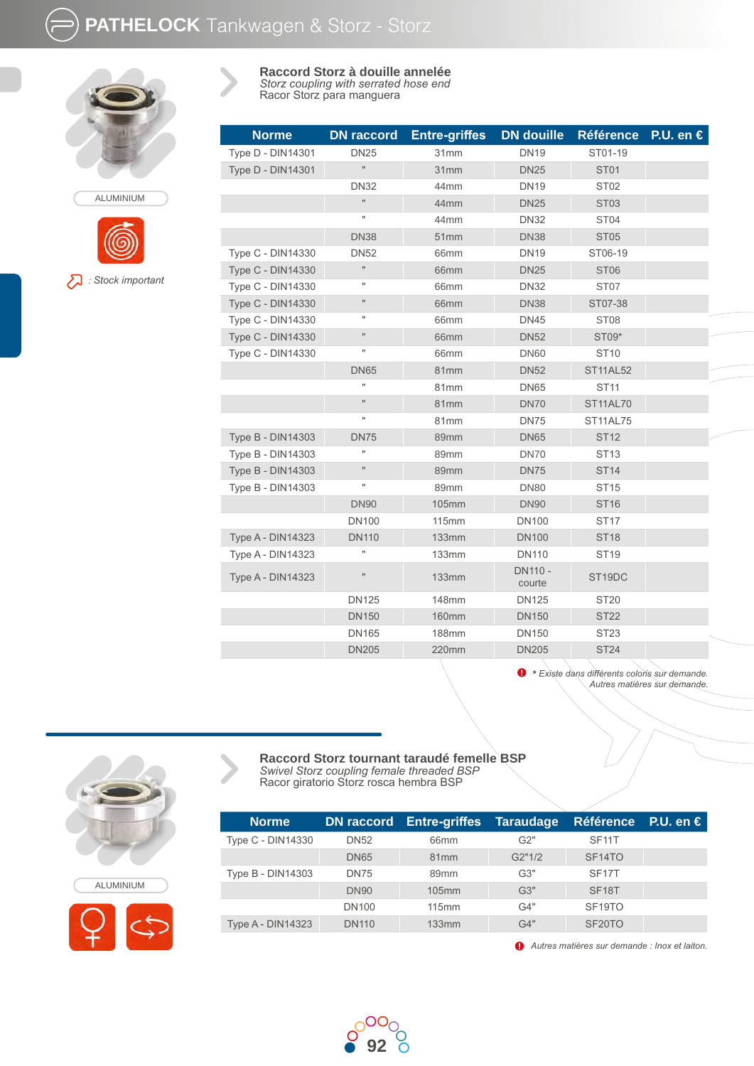

ALUMINIUM

*: Stock important*

**Raccord Storz à douille annelée** *Storz coupling with serrated hose end* Racor Storz para manguera

| <b>Norme</b>             | <b>DN</b> raccord    | <b>Entre-griffes</b> | <b>DN</b> douille        | <b>Référence</b>    | P.U. en $\epsilon$ |
|--------------------------|----------------------|----------------------|--------------------------|---------------------|--------------------|
| <b>Type D - DIN14301</b> | <b>DN25</b>          | 31mm                 | <b>DN19</b>              | ST01-19             |                    |
| Type D - DIN14301        | $\mathbf{H}$         | 31mm                 | <b>DN25</b>              | <b>ST01</b>         |                    |
|                          | <b>DN32</b>          | 44mm                 | <b>DN19</b>              | ST <sub>02</sub>    |                    |
|                          | Ħ                    | 44mm                 | <b>DN25</b>              | <b>ST03</b>         |                    |
|                          | Ħ                    | 44mm                 | <b>DN32</b>              | ST <sub>04</sub>    |                    |
|                          | <b>DN38</b>          | 51mm                 | <b>DN38</b>              | <b>ST05</b>         |                    |
| Type C - DIN14330        | <b>DN52</b>          | 66mm                 | <b>DN19</b>              | ST06-19             |                    |
| Type C - DIN14330        | $\mathbf{H}$         | 66mm                 | <b>DN25</b>              | <b>ST06</b>         |                    |
| Type C - DIN14330        | Ħ                    | 66mm                 | <b>DN32</b>              | ST <sub>07</sub>    |                    |
| <b>Type C - DIN14330</b> | $\mathbf{H}$         | 66 <sub>mm</sub>     | <b>DN38</b>              | ST07-38             |                    |
| <b>Type C - DIN14330</b> | н                    | 66mm                 | <b>DN45</b>              | ST <sub>08</sub>    |                    |
| Type C - DIN14330        | $\sf H$              | 66 <sub>mm</sub>     | <b>DN52</b>              | ST09*               |                    |
| Type C - DIN14330        | Ħ                    | 66mm                 | <b>DN60</b>              | <b>ST10</b>         |                    |
|                          | <b>DN65</b>          | 81mm                 | <b>DN52</b>              | <b>ST11AL52</b>     |                    |
|                          | Ħ                    | 81mm                 | <b>DN65</b>              | <b>ST11</b>         |                    |
|                          | $\mathbf{H}$         | 81mm                 | <b>DN70</b>              | <b>ST11AL70</b>     |                    |
|                          | Ħ                    | 81mm                 | <b>DN75</b>              | <b>ST11AL75</b>     |                    |
| Type B - DIN14303        | <b>DN75</b>          | 89mm                 | <b>DN65</b>              | <b>ST12</b>         |                    |
| Type B - DIN14303        | $\mathbf{u}$         | 89mm                 | <b>DN70</b>              | <b>ST13</b>         |                    |
| <b>Type B - DIN14303</b> | $\mathbf{H}$         | 89mm                 | <b>DN75</b>              | <b>ST14</b>         |                    |
| Type B - DIN14303        | $\pmb{\mathfrak{m}}$ | 89mm                 | <b>DN80</b>              | <b>ST15</b>         |                    |
|                          | <b>DN90</b>          | 105mm                | <b>DN90</b>              | <b>ST16</b>         |                    |
|                          | <b>DN100</b>         | <b>115mm</b>         | <b>DN100</b>             | <b>ST17</b>         |                    |
| <b>Type A - DIN14323</b> | <b>DN110</b>         | <b>133mm</b>         | <b>DN100</b>             | <b>ST18</b>         |                    |
| <b>Type A - DIN14323</b> | Ħ                    | <b>133mm</b>         | <b>DN110</b>             | <b>ST19</b>         |                    |
| <b>Type A - DIN14323</b> | $\mathbf{H}$         | 133mm                | <b>DN110 -</b><br>courte | ST <sub>19</sub> DC |                    |
|                          | <b>DN125</b>         | <b>148mm</b>         | <b>DN125</b>             | ST20                |                    |
|                          | <b>DN150</b>         | <b>160mm</b>         | <b>DN150</b>             | <b>ST22</b>         |                    |
|                          | <b>DN165</b>         | <b>188mm</b>         | <b>DN150</b>             | <b>ST23</b>         |                    |
|                          | <b>DN205</b>         | 220mm                | <b>DN205</b>             | <b>ST24</b>         |                    |
|                          |                      |                      |                          |                     |                    |

**\*** *Existe dans différents coloris sur demande. Autres matières sur demande.*

## **Raccord Storz tournant taraudé femelle BSP** *Swivel Storz coupling female threaded BSP* Racor giratorio Storz rosca hembra BSP

| <b>Norme</b>             |              | DN raccord Entre-griffes Taraudage |        | <b>Référence</b> P.U. en € |  |
|--------------------------|--------------|------------------------------------|--------|----------------------------|--|
| Type C - DIN14330        | <b>DN52</b>  | 66 <sub>mm</sub>                   | G2"    | SF <sub>11</sub> T         |  |
|                          | <b>DN65</b>  | 81 <sub>mm</sub>                   | G2"1/2 | SF <sub>14</sub> TO        |  |
| <b>Type B - DIN14303</b> | <b>DN75</b>  | 89 <sub>mm</sub>                   | G3"    | SF <sub>17</sub> T         |  |
|                          | <b>DN90</b>  | $105$ mm                           | G3"    | SF <sub>18</sub> T         |  |
|                          | <b>DN100</b> | 115mm                              | G4"    | SF <sub>19</sub> TO        |  |
| <b>Type A - DIN14323</b> | <b>DN110</b> | 133mm                              | G4"    | SF <sub>20</sub> TO        |  |

*Autres matières sur demande : Inox et laiton.*





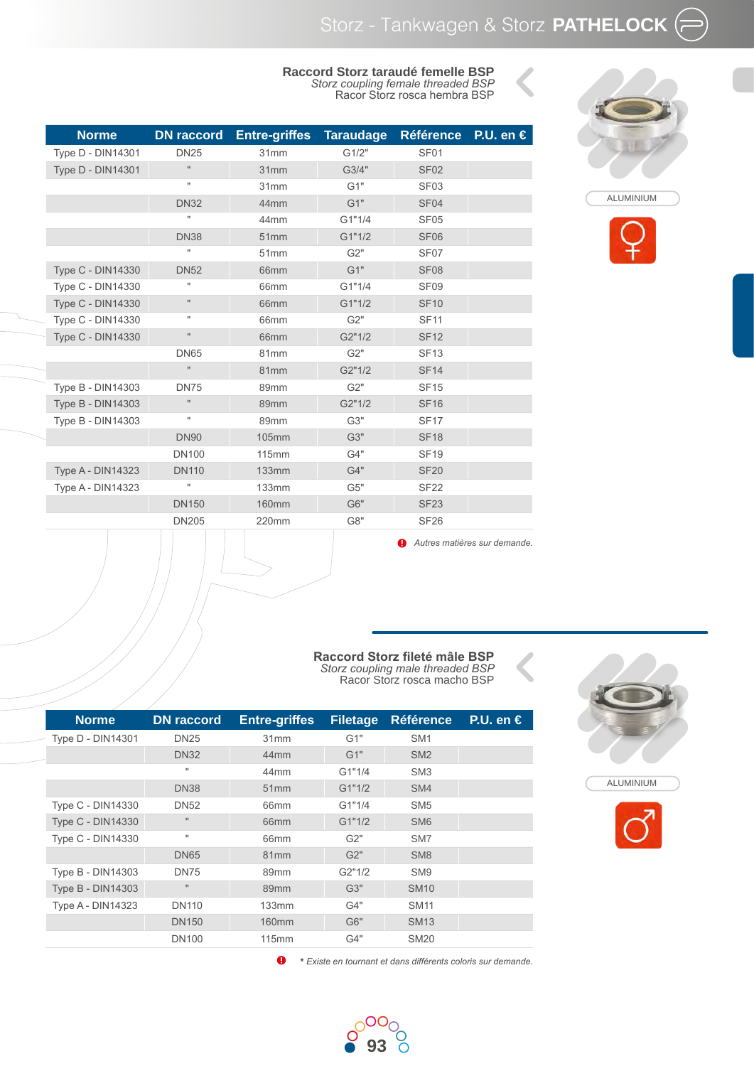## **Raccord Storz taraudé femelle BSP** *Storz coupling female threaded BSP* Racor Storz rosca hembra BSP

| <b>Norme</b>             | <b>DN</b> raccord  | <b>Entre-griffes</b> | <b>Taraudage</b> | <b>Référence</b> | P.U. en $\epsilon$           |
|--------------------------|--------------------|----------------------|------------------|------------------|------------------------------|
| Type D - DIN14301        | <b>DN25</b>        | 31mm                 | G1/2"            | SF <sub>01</sub> |                              |
| <b>Type D - DIN14301</b> | Ħ                  | 31mm                 | G3/4"            | <b>SF02</b>      |                              |
|                          | Ħ                  | 31mm                 | G1"              | SF <sub>03</sub> |                              |
|                          | <b>DN32</b>        | 44mm                 | G1"              | SF <sub>04</sub> |                              |
|                          | Ħ                  | 44mm                 | G1"1/4           | SF <sub>05</sub> |                              |
|                          | <b>DN38</b>        | 51mm                 | G1"1/2           | <b>SF06</b>      |                              |
|                          | u                  | 51mm                 | G2"              | SF <sub>07</sub> |                              |
| Type C - DIN14330        | <b>DN52</b>        | 66mm                 | G1"              | <b>SF08</b>      |                              |
| <b>Type C - DIN14330</b> | Ħ                  | 66mm                 | G1"1/4           | SF <sub>09</sub> |                              |
| Type C - DIN14330        | $\pmb{\mathsf{H}}$ | 66mm                 | G1"1/2           | <b>SF10</b>      |                              |
| <b>Type C - DIN14330</b> | Ħ                  | 66mm                 | G2"              | <b>SF11</b>      |                              |
| Type C - DIN14330        | $\mathbf{H}$       | 66mm                 | G2"1/2           | <b>SF12</b>      |                              |
|                          | <b>DN65</b>        | 81mm                 | G2"              | <b>SF13</b>      |                              |
|                          | H.                 | 81mm                 | G2"1/2           | <b>SF14</b>      |                              |
| Type B - DIN14303        | <b>DN75</b>        | 89mm                 | G2"              | <b>SF15</b>      |                              |
| Type B - DIN14303        | Ħ                  | 89mm                 | G2"1/2           | <b>SF16</b>      |                              |
| Type B - DIN14303        | Ħ                  | 89mm                 | G3"              | <b>SF17</b>      |                              |
|                          | <b>DN90</b>        | <b>105mm</b>         | G3"              | <b>SF18</b>      |                              |
|                          | <b>DN100</b>       | <b>115mm</b>         | G4"              | <b>SF19</b>      |                              |
| <b>Type A - DIN14323</b> | <b>DN110</b>       | <b>133mm</b>         | G4"              | <b>SF20</b>      |                              |
| Type A - DIN14323        | Ħ                  | <b>133mm</b>         | G5"              | <b>SF22</b>      |                              |
|                          | <b>DN150</b>       | <b>160mm</b>         | G6"              | <b>SF23</b>      |                              |
|                          | <b>DN205</b>       | 220mm                | G8"              | <b>SF26</b>      |                              |
|                          |                    |                      |                  |                  | Autres matières sur demande. |





## **Raccord Storz fileté mâle BSP** *Storz coupling male threaded BSP* Racor Storz rosca macho BSP

| <b>Norme</b>             | <b>DN</b> raccord | <b>Entre-griffes</b> | <b>Filetage</b> | <b>Référence</b> | P.U. en $\epsilon$ |
|--------------------------|-------------------|----------------------|-----------------|------------------|--------------------|
| Type D - DIN14301        | <b>DN25</b>       | 31mm                 | G1"             | SM <sub>1</sub>  |                    |
|                          | <b>DN32</b>       | 44 <sub>mm</sub>     | G1"             | SM <sub>2</sub>  |                    |
|                          | $\mathbf{H}$      | 44mm                 | G1"1/4          | SM <sub>3</sub>  |                    |
|                          | <b>DN38</b>       | 51mm                 | G1"1/2          | SM4              |                    |
| Type C - DIN14330        | <b>DN52</b>       | 66mm                 | G1"1/4          | SM <sub>5</sub>  |                    |
| <b>Type C - DIN14330</b> | $\mathbf{H}$      | 66 <sub>mm</sub>     | G1"1/2          | SM <sub>6</sub>  |                    |
| Type C - DIN14330        | $\mathbf{H}$      | 66 <sub>mm</sub>     | G2"             | SM <sub>7</sub>  |                    |
|                          | <b>DN65</b>       | 81mm                 | G2"             | SM <sub>8</sub>  |                    |
| <b>Type B - DIN14303</b> | <b>DN75</b>       | 89mm                 | G2"1/2          | SM <sub>9</sub>  |                    |
| <b>Type B - DIN14303</b> | $\mathbf{H}$      | 89mm                 | G3"             | <b>SM10</b>      |                    |
| <b>Type A - DIN14323</b> | <b>DN110</b>      | 133mm                | G4"             | <b>SM11</b>      |                    |
|                          | <b>DN150</b>      | 160 <sub>mm</sub>    | G6"             | <b>SM13</b>      |                    |
|                          | <b>DN100</b>      | 115mm                | G4"             | <b>SM20</b>      |                    |
|                          |                   |                      |                 |                  |                    |

 $\bullet$ **\*** *Existe en tournant et dans différents coloris sur demande.*





ALUMINIUM

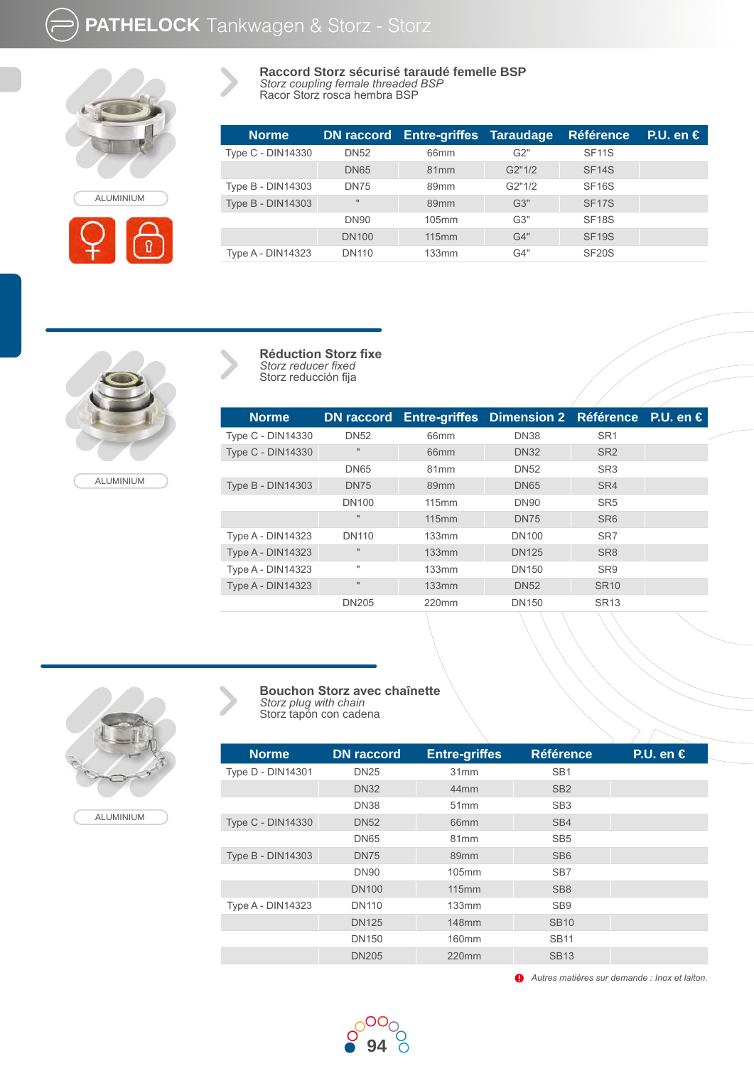**PATHELOCK** Tankwagen & Storz - Storz



ALUMINIUM

Ø



Racor Storz rosca hembra BSP

| <b>Norme</b>             |              | <b>DN raccord Entre-griffes Taraudage</b> |        | <b>Référence</b>   | $PLU$ . en $\in$ |
|--------------------------|--------------|-------------------------------------------|--------|--------------------|------------------|
| Type C - DIN14330        | <b>DN52</b>  | 66 <sub>mm</sub>                          | G2"    | SF <sub>11</sub> S |                  |
|                          | <b>DN65</b>  | 81mm                                      | G2"1/2 | SF <sub>14</sub> S |                  |
| Type B - DIN14303        | <b>DN75</b>  | 89 <sub>mm</sub>                          | G2"1/2 | SF <sub>16</sub> S |                  |
| <b>Type B - DIN14303</b> | $\mathbf{H}$ | 89 <sub>mm</sub>                          | G3"    | <b>SF17S</b>       |                  |
|                          | <b>DN90</b>  | $105$ mm                                  | G3"    | SF <sub>18</sub> S |                  |
|                          | <b>DN100</b> | 115mm                                     | G4"    | <b>SF19S</b>       |                  |
| <b>Type A - DIN14323</b> | <b>DN110</b> | 133mm                                     | G4"    | SF <sub>20</sub> S |                  |



**Réduction Storz fixe** *Storz reducer fixed* Storz reducción fija

| <b>Norme</b>             | <b>DN</b> raccord | <b>Entre-griffes</b> | Dimension 2 Référence |                 | P.U. en $\epsilon$ |
|--------------------------|-------------------|----------------------|-----------------------|-----------------|--------------------|
| Type C - DIN14330        | <b>DN52</b>       | 66mm                 | <b>DN38</b>           | SR <sub>1</sub> |                    |
| <b>Type C - DIN14330</b> | $\mathbf{H}$      | 66 <sub>mm</sub>     | <b>DN32</b>           | SR <sub>2</sub> |                    |
|                          | <b>DN65</b>       | 81 <sub>mm</sub>     | <b>DN52</b>           | SR <sub>3</sub> |                    |
| Type B - DIN14303        | <b>DN75</b>       | 89 <sub>mm</sub>     | <b>DN65</b>           | SR4             |                    |
|                          | <b>DN100</b>      | 115mm                | <b>DN90</b>           | SR <sub>5</sub> |                    |
|                          | $\mathbf{H}$      | 115mm                | <b>DN75</b>           | SR <sub>6</sub> |                    |
| <b>Type A - DIN14323</b> | <b>DN110</b>      | 133mm                | <b>DN100</b>          | SR <sub>7</sub> |                    |
| <b>Type A - DIN14323</b> | $\mathbf{H}$      | 133mm                | <b>DN125</b>          | SR <sub>8</sub> |                    |
| <b>Type A - DIN14323</b> |                   | 133mm                | <b>DN150</b>          | SR <sub>9</sub> |                    |
| <b>Type A - DIN14323</b> | $\mathbf{H}$      | 133mm                | <b>DN52</b>           | <b>SR10</b>     |                    |
|                          | <b>DN205</b>      | 220mm                | <b>DN150</b>          | <b>SR13</b>     |                    |
|                          |                   |                      |                       |                 |                    |



ALUMINIUM

| <b>Bouchon Storz avec chaînette</b> |
|-------------------------------------|
| Storz plug with chain               |
| Storz tapón con cadena              |

| <b>Norme</b>             | <b>DN</b> raccord | <b>Entre-griffes</b> | <b>Référence</b> | P.U. en $\epsilon$ |
|--------------------------|-------------------|----------------------|------------------|--------------------|
| Type D - DIN14301        | <b>DN25</b>       | 31mm                 | SB <sub>1</sub>  |                    |
|                          | <b>DN32</b>       | 44 <sub>mm</sub>     | SB <sub>2</sub>  |                    |
|                          | <b>DN38</b>       | 51mm                 | SB <sub>3</sub>  |                    |
| <b>Type C - DIN14330</b> | <b>DN52</b>       | 66 <sub>mm</sub>     | SB <sub>4</sub>  |                    |
|                          | <b>DN65</b>       | 81 <sub>mm</sub>     | SB <sub>5</sub>  |                    |
| <b>Type B - DIN14303</b> | <b>DN75</b>       | 89 <sub>mm</sub>     | SB <sub>6</sub>  |                    |
|                          | <b>DN90</b>       | 105mm                | SB <sub>7</sub>  |                    |
|                          | <b>DN100</b>      | <b>115mm</b>         | SB <sub>8</sub>  |                    |
| <b>Type A - DIN14323</b> | <b>DN110</b>      | 133mm                | SB <sub>9</sub>  |                    |
|                          | <b>DN125</b>      | 148mm                | <b>SB10</b>      |                    |
|                          | <b>DN150</b>      | 160mm                | <b>SB11</b>      |                    |
|                          | <b>DN205</b>      | 220mm                | <b>SB13</b>      |                    |

*Autres matières sur demande : Inox et laiton.*